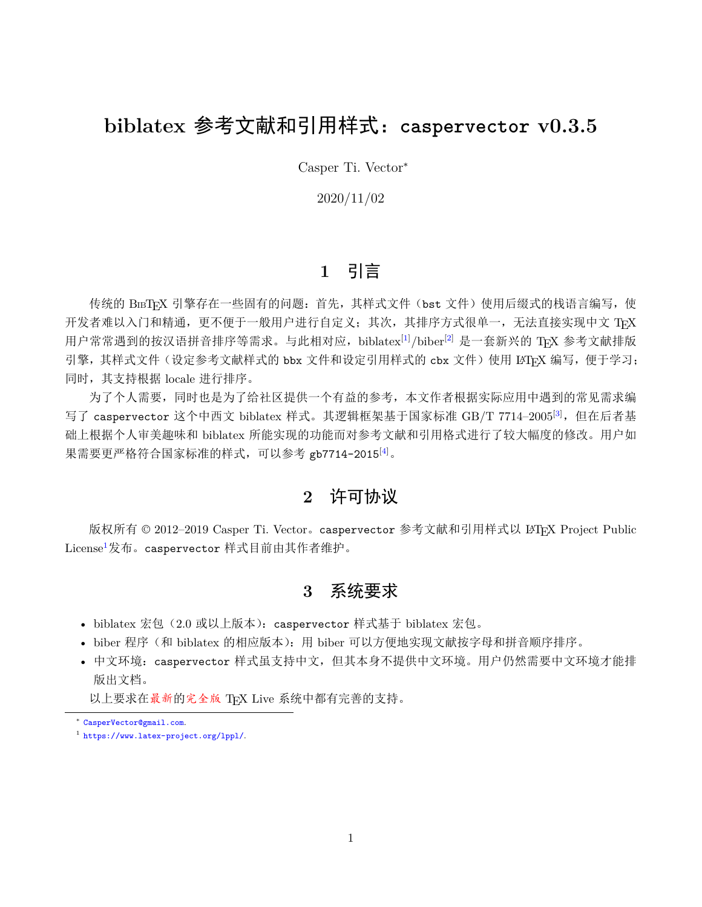# **biblatex** 参考文献和引用样式:**caspervector v0.3.5**

Casper Ti. Vector<sup>∗</sup>

2020/11/02

## **1** 引言

传统的 BIBTEX 引擎存在一些固有的问题: 首先, 其样式文件(bst 文件)使用后缀式的栈语言编写, 使 开发者难以入门和精通,更不便于一般用户进行自定义;其次,其排序方式很单一,无法直接实现中文 TrX 用户常常遇到的按汉语拼音排序等需求。与此相对应,biblatex<sup>[[1\]](#page-7-0)</sup>/biber<sup>[[2\]](#page-8-0)</sup> 是一套新兴的 TFX 参考文献排版 引擎,其样式文件(设定参考文献样式的 bbx 文件和设定引用样式的 cbx 文件)使用 LATFX 编写, 便于学习; 同时,其支持根据 locale 进行排序。

为了个人需要,同时也是为了给社区提供一个有益的参考,本文作者根据实际应用中遇到的常见需求编 写了 caspervector 这个中西文 biblatex 样式。其逻辑框架基于国家标准 GB/T 7714-2005<sup>[[3\]](#page-8-1)</sup>, 但在后者基 础上根据个人审美趣味和 biblatex 所能实现的功能而对参考文献和引用格式进行了较大幅度的修改。用户如 果需要更严格符合国家标准的样式,可以参考 gb7714-2015<sup>[\[4](#page-8-2)]</sup>。

## **2** 许可协议

版权所有 © 2012-2019 Casper Ti. Vector。caspervector 参考文献和引用样式以 LATEX Project Public License<sup>[1](#page-0-0)</sup>发布。caspervector 样式目前由其作者维护。

## **3** 系统要求

- biblatex 宏包(2.0 或以上版本): caspervector 样式基于 biblatex 宏包。
- biber 程序(和 biblatex 的相应版本):用 biber 可以方便地实现文献按字母和拼音顺序排序。
- 中文环境:caspervector 样式虽支持中文,但其本身不提供中文环境。用户仍然需要中文环境才能排 版出文档。

以上要求在最新的完全版 TFX Live 系统中都有完善的支持。

∗ [CasperVector@gmail.com](mailto:CasperVector@gmail.com).

<span id="page-0-0"></span><sup>1</sup> <https://www.latex-project.org/lppl/>.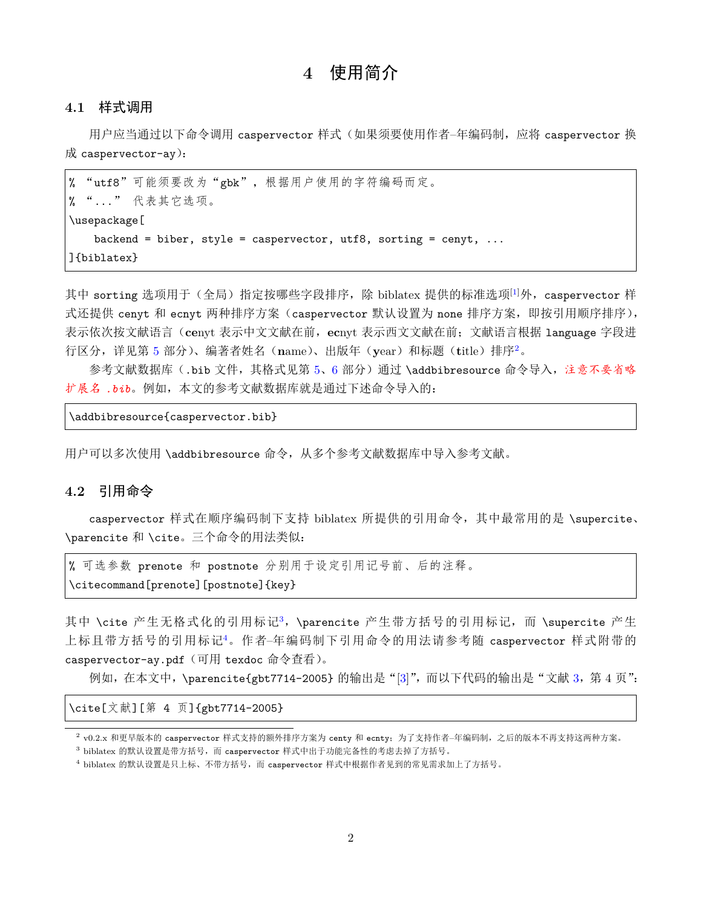## **4** 使用简介

#### **4.1** 样式调用

用户应当通过以下命令调用 caspervector 样式(如果须要使用作者–年编码制, 应将 caspervector 换 成 caspervector-ay):

% "utf8"可能须要改为"gbk",根据用户使用的字符编码而定。 % "..." 代表其它选项。 \usepackage[ backend = biber, style = caspervector, utf8, sorting = cenyt,  $\dots$ ]{biblatex}

其中 sorting 选项用于(全局)指定按哪些字段排序, 除 biblatex 提供的标准选项<sup>[\[1](#page-7-0)]</sup>外, caspervector 样 式还提供 cenyt 和 ecnyt 两种排序方案 (caspervector 默认设置为 none 排序方案, 即按引用顺序排序), 表示依次按文献语言(**ce**nyt 表示中文文献在前,**ec**nyt 表示西文文献在前;文献语言根据 language 字段进 行区分,详见第 [5](#page-2-0) 部分)、编著者姓名(**n**ame)、出版年(**y**ear)和标题(**t**itle)排序[2](#page-1-0)。

参考文献数据库(.bib 文件,其格式见第 [5](#page-2-0)、[6](#page-3-0) 部分)通过 \addbibresource 命令导入,注意不要省略 扩展名 *.bib*。例如,本文的参考文献数据库就是通过下述命令导入的:

\addbibresource{caspervector.bib}

用户可以多次使用 \addbibresource 命令,从多个参考文献数据库中导入参考文献。

### **4.2** 引用命令

caspervector 样式在顺序编码制下支持 biblatex 所提供的引用命令,其中最常用的是 \supercite、 \parencite 和 \cite。三个命令的用法类似:

% 可选参数 prenote 和 postnote 分别用于设定引用记号前、后的注释。 \citecommand[prenote][postnote]{key}

其中 \cite 产生无格式化的引用标记[3](#page-1-1), \parencite 产生带方括号的引用标记, 而 \supercite 产生 上标且带方括号的引用标记[4](#page-1-2)。作者–年编码制下引用命令的用法请参考随 caspervector 样式附带的 caspervector-ay.pdf (可用 texdoc 命令查看)。

例如,在本文中, \parencite{gbt7714-2005} 的输出是"[\[3](#page-8-1)]", 而以下代码的输出是"文献 [3](#page-8-1), 第 4 页":

\cite[文献][第 4 页]{gbt7714-2005}

<span id="page-1-0"></span><sup>2</sup> v0.2.x 和更早版本的 caspervector 样式支持的额外排序方案为 centy 和 ecnty; 为了支持作者–年编码制, 之后的版本不再支持这两种方案。

<span id="page-1-1"></span> $3$  biblatex 的默认设置是带方括号, 而 caspervector 样式中出于功能完备性的考虑去掉了方括号。

<span id="page-1-2"></span><sup>4</sup> biblatex 的默认设置是只上标、不带方括号,而 caspervector 样式中根据作者见到的常见需求加上了方括号。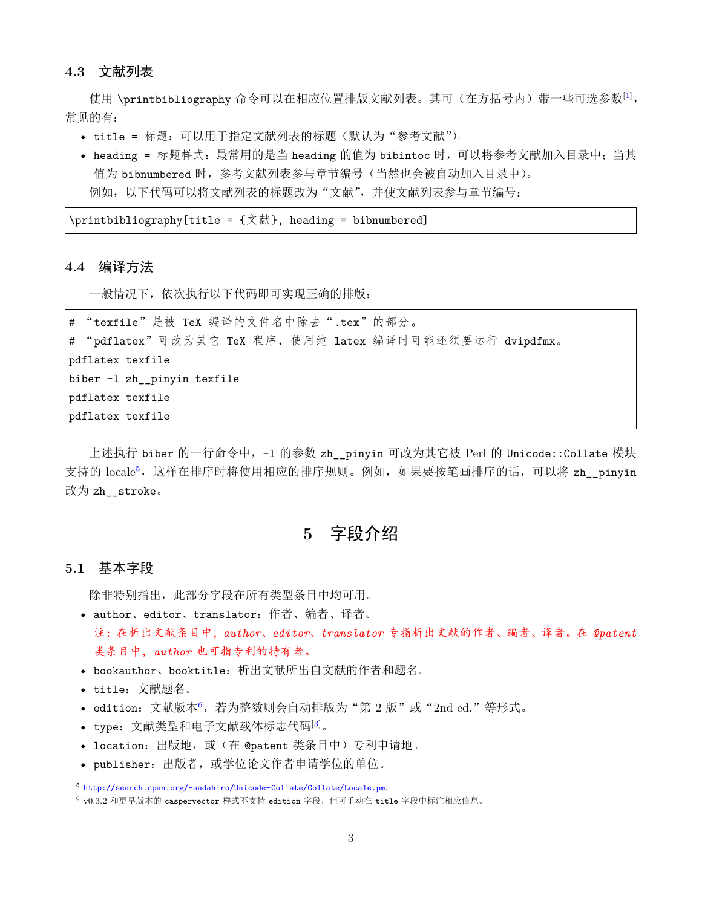#### **4.3** 文献列表

使用 \printbibliography 命令可以在相应位置排版文献列表。其可(在方括号内)带一些可选参数 $^{[1]}$  $^{[1]}$  $^{[1]}$ , 常见的有:

- title = 标题:可以用于指定文献列表的标题(默认为"参考文献")。
- heading = 标题样式:最常用的是当 heading 的值为 bibintoc 时,可以将参考文献加入目录中;当其 值为 bibnumbered 时,参考文献列表参与章节编号(当然也会被自动加入目录中)。 例如,以下代码可以将文献列表的标题改为"文献",并使文献列表参与章节编号:

 $\Delta$ printbibliography[title = {文献}, heading = bibnumbered]

#### **4.4** 编译方法

一般情况下,依次执行以下代码即可实现正确的排版:

# "texfile"是被 TeX 编译的文件名中除去".tex"的部分。 # "pdflatex"可改为其它 TeX 程序,使用纯 latex 编译时可能还须要运行 dvipdfmx。 pdflatex texfile biber -l zh\_\_pinyin texfile pdflatex texfile pdflatex texfile

上述执行 biber 的一行命令中, -1 的参数 zh\_pinyin 可改为其它被 Perl 的 Unicode::Collate 模块 支持的 locale<sup>[5](#page-2-1)</sup>, 这样在排序时将使用相应的排序规则。例如, 如果要按笔画排序的话, 可以将 zh\_pinyin 改为 zh\_\_stroke。

### **5** 字段介绍

#### <span id="page-2-0"></span>**5.1** 基本字段

除非特别指出,此部分字段在所有类型条目中均可用。

- author、editor、translator:作者、编者、译者。 注:在析出文献条目中,*author*、*editor*、*translator* 专指析出文献的作者、编者、译者。在 *@patent* 类条目中,*author* 也可指专利的持有者。
- bookauthor、booktitle:析出文献所出自文献的作者和题名。
- title:文献题名。
- edition: 文献版本 $6$ , 若为整数则会自动排版为"第  $2 \text{ }\mathrm{]}$ 成"或" $2 \text{ }\mathrm{nd}$  ed."等形式。
- type: 文献类型和电子文献载体标志代码[[3\]](#page-8-1)。
- location: 出版地, 或(在 @patent 类条目中)专利申请地。
- publisher:出版者,或学位论文作者申请学位的单位。

<span id="page-2-1"></span><sup>5</sup> <http://search.cpan.org/~sadahiro/Unicode-Collate/Collate/Locale.pm>.

<span id="page-2-2"></span> $^6$  v0.3.2 和更早版本的 caspervector 样式不支持 edition 字段,但可手动在 title 字段中标注相应信息。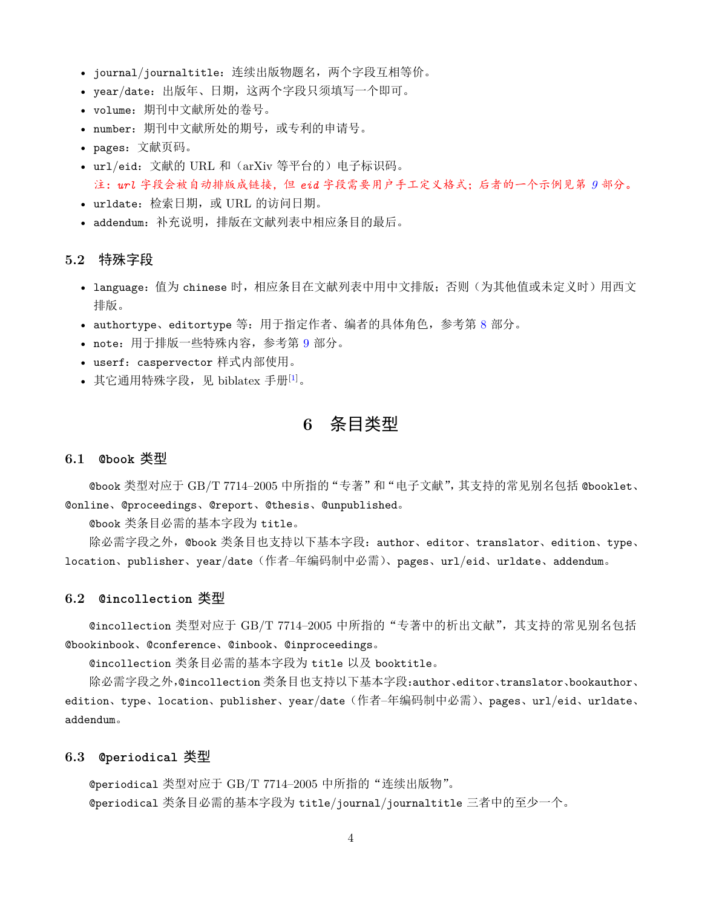- journal/journaltitle:连续出版物题名,两个字段互相等价。
- year/date:出版年、日期,这两个字段只须填写一个即可。
- volume:期刊中文献所处的卷号。
- number:期刊中文献所处的期号,或专利的申请号。
- pages:文献页码。
- url/eid:文献的 URL 和(arXiv 等平台的)电子标识码。 注:*url* 字段会被自动排版成链接,但 *eid* 字段需要用户手工定义格式;后者的一个示例见第 *[9](#page-6-0)* 部分。
- urldate:检索日期,或 URL 的访问日期。
- addendum:补充说明,排版在文献列表中相应条目的最后。

#### **5.2** 特殊字段

- language: 值为 chinese 时,相应条目在文献列表中用中文排版; 否则 (为其他值或未定义时) 用西文 排版。
- authortype、editortype 等:用于指定作者、编者的具体角色,参考第 [8](#page-5-0) 部分。
- note:用于排版一些特殊内容,参考第 [9](#page-6-0) 部分。
- userf: caspervector 样式内部使用。
- <span id="page-3-0"></span>• 其它通用特殊字段, 见 biblatex 手册 $[1]$  $[1]$ 。

### **6** 条目类型

#### **6.1 @book** 类型

@book 类型对应于 GB/T 7714–2005 中所指的"专著"和"电子文献",其支持的常见别名包括 @booklet、 @online、@proceedings、@report、@thesis、@unpublished。

@book 类条目必需的基本字段为 title。

除必需字段之外, @book 类条目也支持以下基本字段: author、editor、translator、edition、type、 location、publisher、year/date(作者–年编码制中必需)、pages、url/eid、urldate、addendum。

#### **6.2 @incollection** 类型

@incollection 类型对应于 GB/T 7714–2005 中所指的"专著中的析出文献",其支持的常见别名包括 @bookinbook、@conference、@inbook、@inproceedings。

@incollection 类条目必需的基本字段为 title 以及 booktitle。

除必需字段之外,@incollection 类条目也支持以下基本字段:author、editor、translator、bookauthor、 edition、type、location、publisher、year/date(作者–年编码制中必需)、pages、url/eid、urldate、 addendum。

#### **6.3 @periodical** 类型

@periodical 类型对应于 GB/T 7714–2005 中所指的"连续出版物"。 @periodical 类条目必需的基本字段为 title/journal/journaltitle 三者中的至少一个。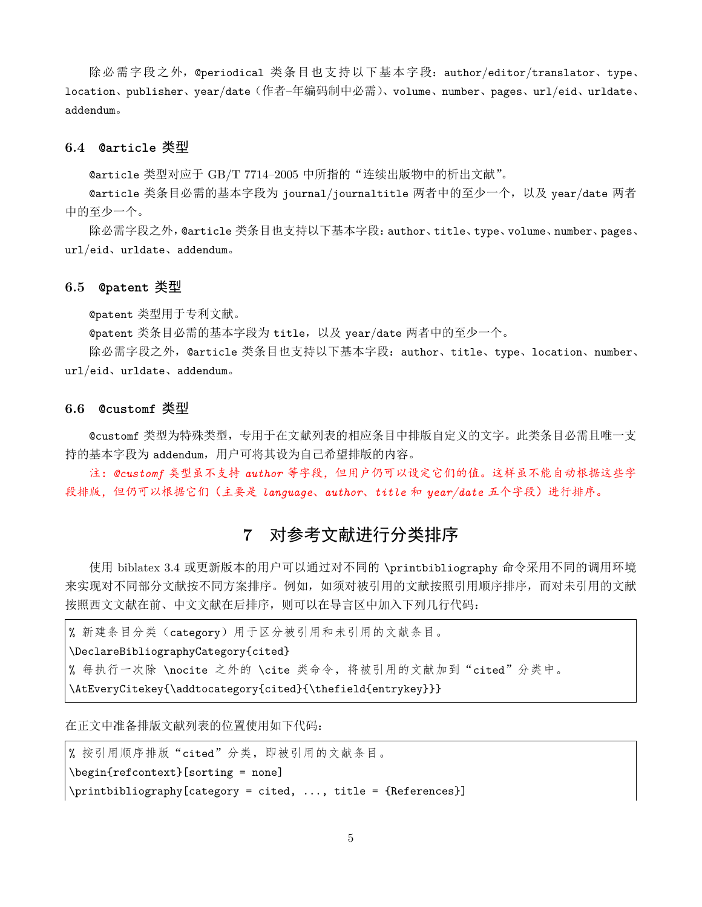除必需字段之外, @periodical 类条目也支持以下基本字段: author/editor/translator、type、 location、publisher、year/date(作者–年编码制中必需)、volume、number、pages、url/eid、urldate、 addendum。

#### **6.4 @article** 类型

@article 类型对应于 GB/T 7714–2005 中所指的"连续出版物中的析出文献"。

@article 类条目必需的基本字段为 journal/journaltitle 两者中的至少一个,以及 year/date 两者 中的至少一个。

除必需字段之外,@article 类条目也支持以下基本字段:author、title、type、volume、number、pages、 url/eid、urldate、addendum。

#### **6.5 @patent** 类型

@patent 类型用于专利文献。

@patent 类条目必需的基本字段为 title,以及 year/date 两者中的至少一个。

除必需字段之外, @article 类条目也支持以下基本字段: author、title、type、location、number、 url/eid、urldate、addendum。

#### **6.6 @customf** 类型

@customf 类型为特殊类型,专用于在文献列表的相应条目中排版自定义的文字。此类条目必需且唯一支 持的基本字段为 addendum, 用户可将其设为自己希望排版的内容。

注:*@customf* 类型虽不支持 *author* 等字段,但用户仍可以设定它们的值。这样虽不能自动根据这些字 段排版,但仍可以根据它们(主要是 *language*、*author*、*title* 和 *year/date* 五个字段)进行排序。

## **7** 对参考文献进行分类排序

<span id="page-4-0"></span>使用 biblatex 3.4 或更新版本的用户可以通过对不同的 \printbibliography 命令采用不同的调用环境 来实现对不同部分文献按不同方案排序。例如,如须对被引用的文献按照引用顺序排序,而对未引用的文献 按照西文文献在前、中文文献在后排序,则可以在导言区中加入下列几行代码:

% 新建条目分类(category)用于区分被引用和未引用的文献条目。 \DeclareBibliographyCategory{cited} % 每执行一次除 \nocite 之外的 \cite 类命令, 将被引用的文献加到"cited"分类中。 \AtEveryCitekey{\addtocategory{cited}{\thefield{entrykey}}}

在正文中准备排版文献列表的位置使用如下代码:

% 按引用顺序排版"cited"分类,即被引用的文献条目。 \begin{refcontext}[sorting = none] \printbibliography[category = cited, ..., title = {References}]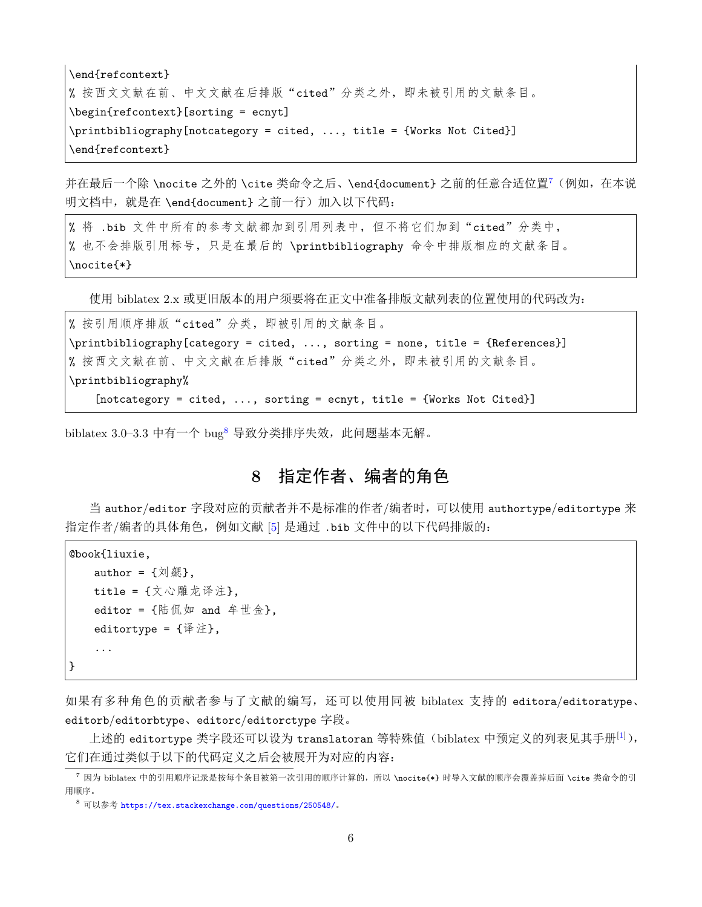\end{refcontext} % 按西文文献在前、中文文献在后排版"cited"分类之外,即未被引用的文献条目。 \begin{refcontext}[sorting = ecnyt] \printbibliography[notcategory = cited, ..., title = {Works Not Cited}] \end{refcontext}

并在最后一个除 \nocite 之外的 \cite 类命令之后、\end{document} 之前的任意合适位置<sup>[7](#page-5-1)</sup> (例如, 在本说 明文档中, 就是在 \end{document} 之前一行) 加入以下代码:

% 将 .bib 文件中所有的参考文献都加到引用列表中,但不将它们加到"cited"分类中, % 也不会排版引用标号,只是在最后的 \printbibliography 命令中排版相应的文献条目。 \nocite{\*}

使用 biblatex 2.x 或更旧版本的用户须要将在正文中准备排版文献列表的位置使用的代码改为:

% 按引用顺序排版"cited"分类,即被引用的文献条目。 \printbibliography[category = cited, ..., sorting = none, title = {References}] % 按西文文献在前、中文文献在后排版"cited"分类之外,即未被引用的文献条目。 \printbibliography% [notcategory = cited, ..., sorting = ecnyt, title = {Works Not Cited}]

<span id="page-5-0"></span>biblatex 3.0–3.3 中有一个 bug<sup>[8](#page-5-2)</sup> 导致分类排序失效, 此问题基本无解。

# **8** 指定作者、编者的角色

当 author/editor 字段对应的贡献者并不是标准的作者/编者时,可以使用 authortype/editortype 来 指定作者/编者的具体角色,例如文献 [\[5\]](#page-8-3) 是通过 .bib 文件中的以下代码排版的:

```
@book{liuxie,
     author = \{\bar{x} \mid \bar{x}\}.
     title = \{\dot{\chi}心雕龙译注},
     editor = \{ 陆 侃 如 and \hat{p} 世 金 },
     editortype = \{\&注},
     ...
}
```
如果有多种角色的贡献者参与了文献的编写,还可以使用同被 biblatex 支持的 editora/editoratype、 editorb/editorbtype、editorc/editorctype 字段。

上述的 editortype 类字段还可以设为 translatoran 等特殊值 (biblatex 中预定义的列表见其手册[\[1](#page-7-0)]), 它们在通过类似于以下的代码定义之后会被展开为对应的内容:

<span id="page-5-1"></span><sup>7</sup> 因为 biblatex 中的引用顺序记录是按每个条目被第一次引用的顺序计算的, 所以 \nocite{\*} 时导入文献的顺序会覆盖掉后面 \cite 类命令的引 用顺序。

<span id="page-5-2"></span><sup>8</sup> 可以参考 <https://tex.stackexchange.com/questions/250548/>。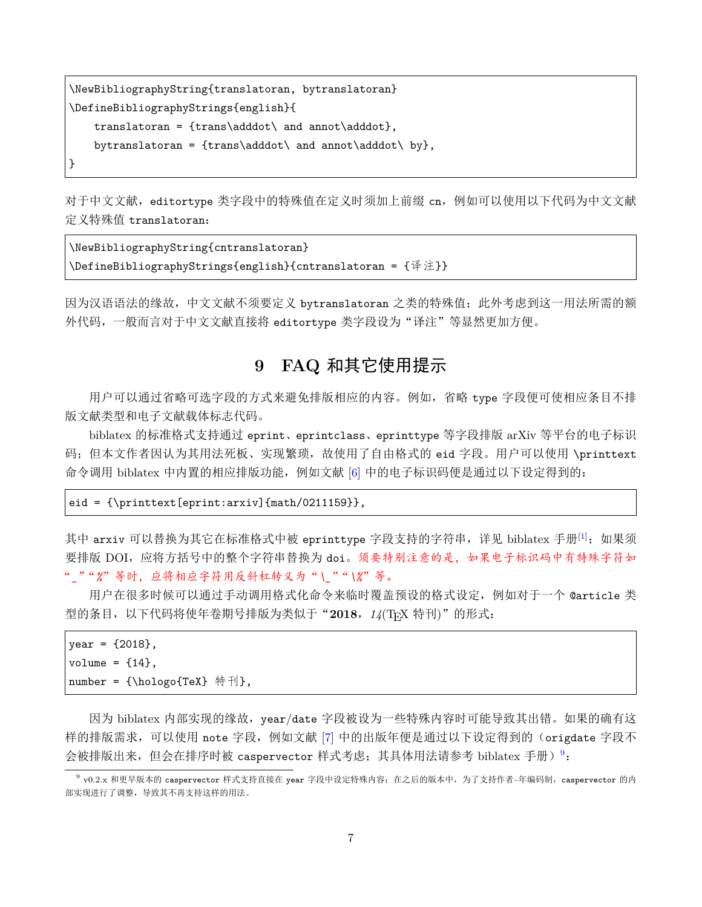```
\NewBibliographyString{translatoran, bytranslatoran}
\DefineBibliographyStrings{english}{
    translatoran = {trans\adddot\ and annot\adddot},
    bytranslatoran = {trans\adddot\ and annot\adddot\ by},
}
```
对于中文文献, editortype 类字段中的特殊值在定义时须加上前缀 cn, 例如可以使用以下代码为中文文献 定义特殊值 translatoran:

\NewBibliographyString{cntranslatoran} \DefineBibliographyStrings{english}{cntranslatoran = {译注}}

因为汉语语法的缘故,中文文献不须要定义 bytranslatoran 之类的特殊值;此外考虑到这一用法所需的额 外代码,一般而言对于中文文献直接将 editortype 类字段设为"译注"等显然更加方便。

## **9 FAQ** 和其它使用提示

<span id="page-6-0"></span>用户可以通过省略可选字段的方式来避免排版相应的内容。例如,省略 type 字段便可使相应条目不排 版文献类型和电子文献载体标志代码。

biblatex 的标准格式支持通过 eprint、eprintclass、eprinttype 等字段排版 arXiv 等平台的电子标识 码;但本文作者因认为其用法死板、实现繁琐,故使用了自由格式的 eid 字段。用户可以使用 \printtext 命令调用 biblatex 中内置的相应排版功能, 例如文献 [[6\]](#page-8-4) 中的电子标识码便是通过以下设定得到的:

#### eid = {\printtext[eprint:arxiv]{math/0211159}},

其中 arxiv 可以替换为其它在标准格式中被 eprinttype 字段支持的字符串, 详见 biblatex 手册[\[1](#page-7-0)]; 如果须 要排版 DOI, 应将方括号中的整个字符串替换为 doi。须要特别注意的是, 如果电子标识码中有特殊字符如 "*\_*""*%*"等时,应将相应字符用反斜杠转义为"*\\_*""*\%*"等。

用户在很多时候可以通过手动调用格式化命令来临时覆盖预设的格式设定,例如对于一个 @article 类 型的条目, 以下代码将使年卷期号排版为类似于"2018, 14(TEX 特刊)"的形式:

```
year = {2018},
volume = {14},
number = {\hologo{TeX} 特刊},
```
因为 biblatex 内部实现的缘故, year/date 字段被设为一些特殊内容时可能导致其出错。如果的确有这 样的排版需求,可以使用 note 字段, 例如文献 [\[7\]](#page-8-5) 中的出版年便是通过以下设定得到的(origdate 字段不 会被排版出来, 但会在排序时被 caspervector 样式考虑; 其具体用法请参考 biblatex 手册) <sup>[9](#page-6-1)</sup>:

<span id="page-6-1"></span><sup>。&</sup>lt;br>v0.2.x 和更早版本的 caspervector 样式支持直接在 year 字段中设定特殊内容;在之后的版本中,为了支持作者–年编码制, caspervector 的内 部实现进行了调整,导致其不再支持这样的用法。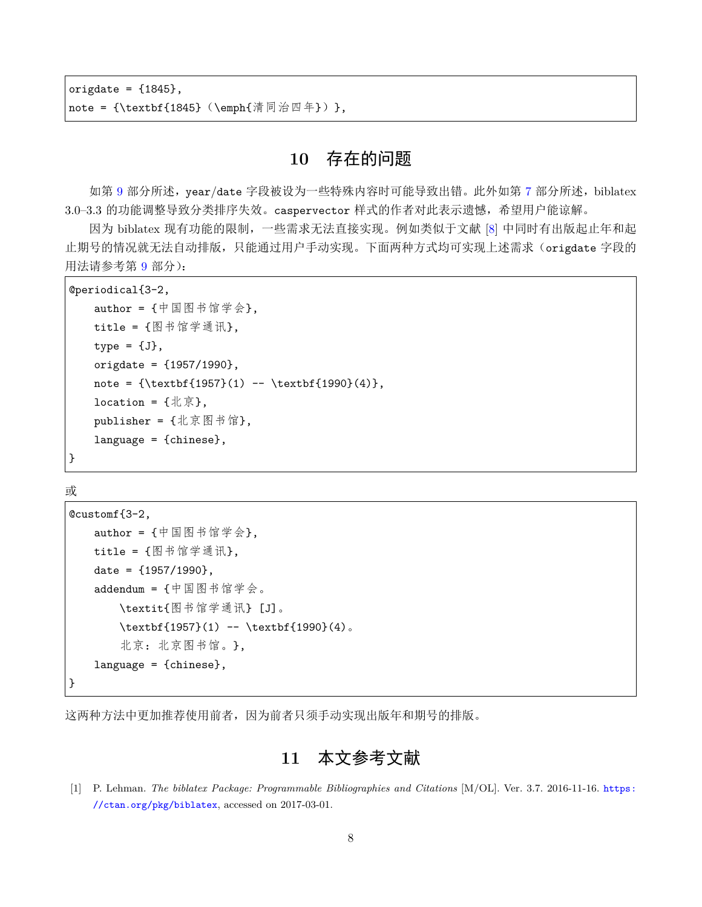origdate =  ${1845}$ , note = {\textbf{1845} (\emph{清同治四年})},

### **10** 存在的问题

如第 [9](#page-6-0) 部分所述, year/date 字段被设为一些特殊内容时可能导致出错。此外如第 [7](#page-4-0) 部分所述, biblatex 3.0–3.3 的功能调整导致分类排序失效。caspervector 样式的作者对此表示遗憾,希望用户能谅解。

因为 biblatex 现有功能的限制,一些需求无法直接实现。例如类似于文献 [\[8\]](#page-8-6) 中同时有出版起止年和起 止期号的情况就无法自动排版,只能通过用户手动实现。下面两种方式均可实现上述需求(origdate 字段的 用法请参考第 [9](#page-6-0) 部分):

```
@periodical{3-2,
   author = {中国图书馆学会},
   title = {图书馆学通讯},
   type = {J},origdate = {1957/1990},
   note = {\text{1957}(1) -- \textbf{1990}(4)},location = {1 \times \bar{x}},
   publisher = {北京图书馆},
   language = {chinese},
}
```
或

```
@customf{3-2,
   author = {中国图书馆学会},
   title = {图书馆学通讯},
   date = {1957/1990},
   addendum = {中国图书馆学会。
      \textit{图书馆学通讯} [J]。
      \textbf{1957}(1) -- \textbf{1990}(4)北京:北京图书馆。},
   language = {chinese},
}
```
这两种方法中更加推荐使用前者,因为前者只须手动实现出版年和期号的排版。

**11** 本文参考文献

<span id="page-7-0"></span>[1] P. Lehman. *The biblatex Package: Programmable Bibliographies and Citations* [M/OL]. Ver. 3.7. 2016-11-16. [https:](https://ctan.org/pkg/biblatex) [//ctan.org/pkg/biblatex](https://ctan.org/pkg/biblatex), accessed on 2017-03-01.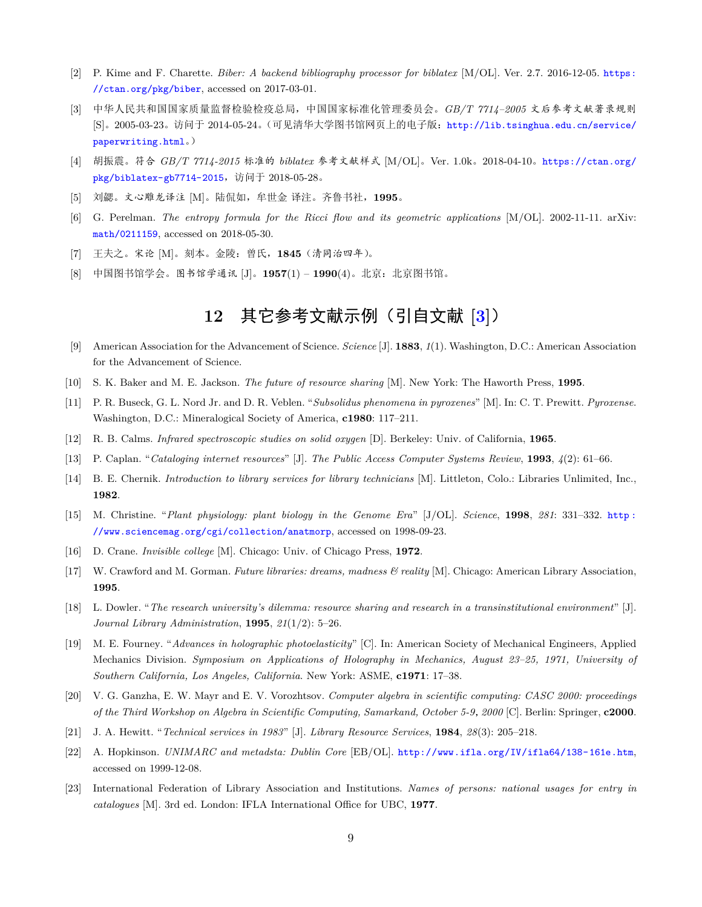- <span id="page-8-0"></span>[2] P. Kime and F. Charette. *Biber: A backend bibliography processor for biblatex* [M/OL]. Ver. 2.7. 2016-12-05. [https:](https://ctan.org/pkg/biber) [//ctan.org/pkg/biber](https://ctan.org/pkg/biber), accessed on 2017-03-01.
- <span id="page-8-1"></span>[3] 中华人民共和国国家质量监督检验检疫总局,中国国家标准化管理委员会。*GB/T 7714–2005* 文后参考文献著录规则 [S]。2005-03-23。访问于 2014-05-24。(可见清华大学图书馆网页上的电子版: [http://lib.tsinghua.edu.cn/service/](http://lib.tsinghua.edu.cn/service/paperwriting.html) [paperwriting.html](http://lib.tsinghua.edu.cn/service/paperwriting.html)。)
- <span id="page-8-2"></span>[4] 胡振震。符合 *GB/T 7714-2015* 标准的 *biblatex* 参考文献样式 [M/OL]。Ver. 1.0k。2018-04-10。[https://ctan.org/](https://ctan.org/pkg/biblatex-gb7714-2015) [pkg/biblatex-gb7714-2015](https://ctan.org/pkg/biblatex-gb7714-2015),访问于 2018-05-28。
- <span id="page-8-3"></span>[5] 刘勰。文心雕龙译注 [M]。陆侃如,牟世金 译注。齐鲁书社,**1995**。
- <span id="page-8-4"></span>[6] G. Perelman. *The entropy formula for the Ricci flow and its geometric applications* [M/OL]. 2002-11-11. arXiv: [math/0211159](https://arxiv.org/abs/math/0211159), accessed on 2018-05-30.
- <span id="page-8-5"></span>[7] 王夫之。宋论 [M]。刻本。金陵:曾氏,**1845**(清同治四年)。
- <span id="page-8-6"></span>[8] 中国图书馆学会。图书馆学通讯 [J]。**1957**(1) – **1990**(4)。北京:北京图书馆。

# **12** 其它参考文献示例(引自文献 **[\[3](#page-8-1)]**)

- [9] American Association for the Advancement of Science. *Science* [J]. **1883**, *1*(1). Washington, D.C.: American Association for the Advancement of Science.
- [10] S. K. Baker and M. E. Jackson. *The future of resource sharing* [M]. New York: The Haworth Press, **1995**.
- [11] P. R. Buseck, G. L. Nord Jr. and D. R. Veblen. "*Subsolidus phenomena in pyroxenes*" [M]. In: C. T. Prewitt. *Pyroxense*. Washington, D.C.: Mineralogical Society of America, **c1980**: 117–211.
- [12] R. B. Calms. *Infrared spectroscopic studies on solid oxygen* [D]. Berkeley: Univ. of California, **1965**.
- [13] P. Caplan. "*Cataloging internet resources*" [J]. *The Public Access Computer Systems Review*, **1993**, *4*(2): 61–66.
- [14] B. E. Chernik. *Introduction to library services for library technicians* [M]. Littleton, Colo.: Libraries Unlimited, Inc., **1982**.
- [15] M. Christine. "*Plant physiology: plant biology in the Genome Era*" [J/OL]. *Science*, **1998**, *281*: 331–332. [http :](http://www.sciencemag.org/cgi/collection/anatmorp) [//www.sciencemag.org/cgi/collection/anatmorp](http://www.sciencemag.org/cgi/collection/anatmorp), accessed on 1998-09-23.
- [16] D. Crane. *Invisible college* [M]. Chicago: Univ. of Chicago Press, **1972**.
- [17] W. Crawford and M. Gorman. *Future libraries: dreams, madness & reality* [M]. Chicago: American Library Association, **1995**.
- [18] L. Dowler. "*The research university's dilemma: resource sharing and research in a transinstitutional environment*" [J]. *Journal Library Administration*, **1995**, *21*(1/2): 5–26.
- [19] M. E. Fourney. "*Advances in holographic photoelasticity*" [C]. In: American Society of Mechanical Engineers, Applied Mechanics Division. *Symposium on Applications of Holography in Mechanics, August 23–25, 1971, University of Southern California, Los Angeles, California*. New York: ASME, **c1971**: 17–38.
- [20] V. G. Ganzha, E. W. Mayr and E. V. Vorozhtsov. *Computer algebra in scientific computing: CASC 2000: proceedings of the Third Workshop on Algebra in Scientific Computing, Samarkand, October 5-9*,*2000* [C]. Berlin: Springer, **c2000**.
- [21] J. A. Hewitt. "*Technical services in 1983*" [J]. *Library Resource Services*, **1984**, *28*(3): 205–218.
- [22] A. Hopkinson. *UNIMARC and metadsta: Dublin Core* [EB/OL]. <http://www.ifla.org/IV/ifla64/138-161e.htm>, accessed on 1999-12-08.
- [23] International Federation of Library Association and Institutions. *Names of persons: national usages for entry in catalogues* [M]. 3rd ed. London: IFLA International Office for UBC, **1977**.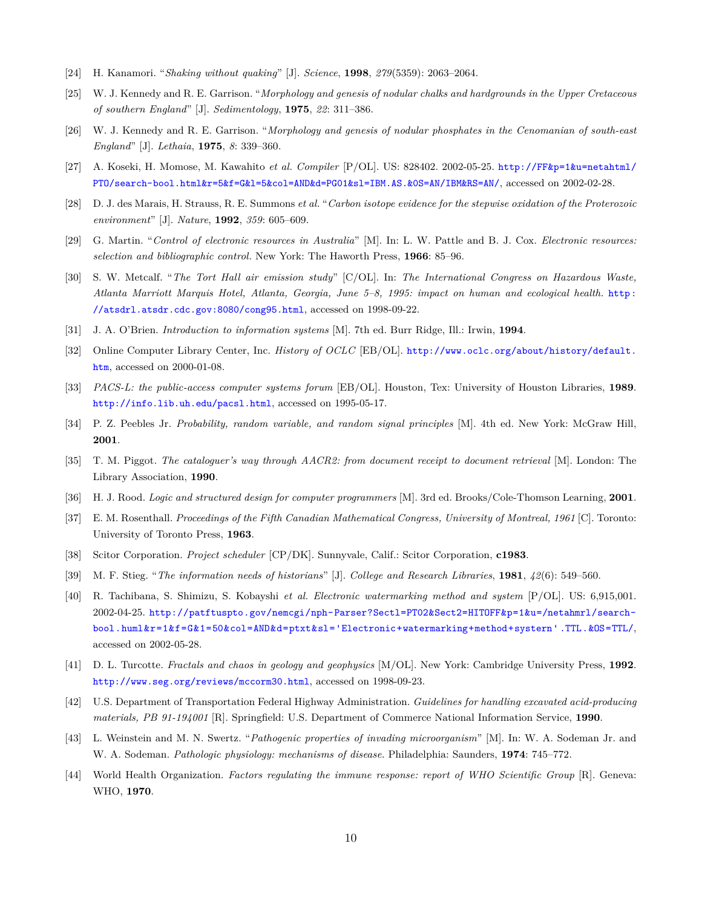- [24] H. Kanamori. "*Shaking without quaking*" [J]. *Science*, **1998**, *279*(5359): 2063–2064.
- [25] W. J. Kennedy and R. E. Garrison. "*Morphology and genesis of nodular chalks and hardgrounds in the Upper Cretaceous of southern England*" [J]. *Sedimentology*, **1975**, *22*: 311–386.
- [26] W. J. Kennedy and R. E. Garrison. "*Morphology and genesis of nodular phosphates in the Cenomanian of south-east England*" [J]. *Lethaia*, **1975**, *8*: 339–360.
- [27] A. Koseki, H. Momose, M. Kawahito *et al. Compiler* [P/OL]. US: 828402. 2002-05-25. [http://FF&p=1&u=netahtml/](http://FF&p=1&u=netahtml/PTO/search-bool.html&r=5&f=G&l=5&col=AND&d=PG01&sl=IBM.AS.&0S=AN/IBM&RS=AN/) [PTO/search-bool.html&r=5&f=G&l=5&col=AND&d=PG01&sl=IBM.AS.&0S=AN/IBM&RS=AN/](http://FF&p=1&u=netahtml/PTO/search-bool.html&r=5&f=G&l=5&col=AND&d=PG01&sl=IBM.AS.&0S=AN/IBM&RS=AN/), accessed on 2002-02-28.
- [28] D. J. des Marais, H. Strauss, R. E. Summons *et al.* "*Carbon isotope evidence for the stepwise oxidation of the Proterozoic environment*" [J]. *Nature*, **1992**, *359*: 605–609.
- [29] G. Martin. "*Control of electronic resources in Australia*" [M]. In: L. W. Pattle and B. J. Cox. *Electronic resources: selection and bibliographic control*. New York: The Haworth Press, **1966**: 85–96.
- [30] S. W. Metcalf. "*The Tort Hall air emission study*" [C/OL]. In: *The International Congress on Hazardous Waste, Atlanta Marriott Marquis Hotel, Atlanta, Georgia, June 5–8, 1995: impact on human and ecological health*. [http:](http://atsdrl.atsdr.cdc.gov:8080/cong95.html) [//atsdrl.atsdr.cdc.gov:8080/cong95.html](http://atsdrl.atsdr.cdc.gov:8080/cong95.html), accessed on 1998-09-22.
- [31] J. A. O'Brien. *Introduction to information systems* [M]. 7th ed. Burr Ridge, Ill.: Irwin, **1994**.
- [32] Online Computer Library Center, Inc. *History of OCLC* [EB/OL]. [http://www.oclc.org/about/history/default.](http://www.oclc.org/about/history/default.htm) [htm](http://www.oclc.org/about/history/default.htm), accessed on 2000-01-08.
- [33] *PACS-L: the public-access computer systems forum* [EB/OL]. Houston, Tex: University of Houston Libraries, **1989**. <http://info.lib.uh.edu/pacsl.html>, accessed on 1995-05-17.
- [34] P. Z. Peebles Jr. *Probability, random variable, and random signal principles* [M]. 4th ed. New York: McGraw Hill, **2001**.
- [35] T. M. Piggot. *The cataloguer's way through AACR2: from document receipt to document retrieval* [M]. London: The Library Association, **1990**.
- [36] H. J. Rood. *Logic and structured design for computer programmers* [M]. 3rd ed. Brooks/Cole-Thomson Learning, **2001**.
- [37] E. M. Rosenthall. *Proceedings of the Fifth Canadian Mathematical Congress, University of Montreal, 1961* [C]. Toronto: University of Toronto Press, **1963**.
- [38] Scitor Corporation. *Project scheduler* [CP/DK]. Sunnyvale, Calif.: Scitor Corporation, **c1983**.
- [39] M. F. Stieg. "*The information needs of historians*" [J]. *College and Research Libraries*, **1981**, *42*(6): 549–560.
- [40] R. Tachibana, S. Shimizu, S. Kobayshi *et al. Electronic watermarking method and system* [P/OL]. US: 6,915,001. 2002-04-25. [http://patftuspto.gov/nemcgi/nph-Parser?Sectl=PT02&Sect2=HITOFF&p=1&u=/netahmrl/search](http://patftuspto.gov/nemcgi/nph-Parser?Sectl=PT02&Sect2=HITOFF&p=1&u=/netahmrl/search-bool.huml&r=1&f=G&1=50&col=AND&d=ptxt&sl=)[bool.huml&r=1&f=G&1=50&col=AND&d=ptxt&sl='Electronic+watermarking+method+systern'.TTL.&OS=TTL/](http://patftuspto.gov/nemcgi/nph-Parser?Sectl=PT02&Sect2=HITOFF&p=1&u=/netahmrl/search-bool.huml&r=1&f=G&1=50&col=AND&d=ptxt&sl=), accessed on 2002-05-28.
- [41] D. L. Turcotte. *Fractals and chaos in geology and geophysics* [M/OL]. New York: Cambridge University Press, **1992**. <http://www.seg.org/reviews/mccorm30.html>, accessed on 1998-09-23.
- [42] U.S. Department of Transportation Federal Highway Administration. *Guidelines for handling excavated acid-producing materials, PB 91-194001* [R]. Springfield: U.S. Department of Commerce National Information Service, **1990**.
- [43] L. Weinstein and M. N. Swertz. "*Pathogenic properties of invading microorganism*" [M]. In: W. A. Sodeman Jr. and W. A. Sodeman. *Pathologic physiology: mechanisms of disease*. Philadelphia: Saunders, **1974**: 745–772.
- [44] World Health Organization. *Factors regulating the immune response: report of WHO Scientific Group* [R]. Geneva: WHO, **1970**.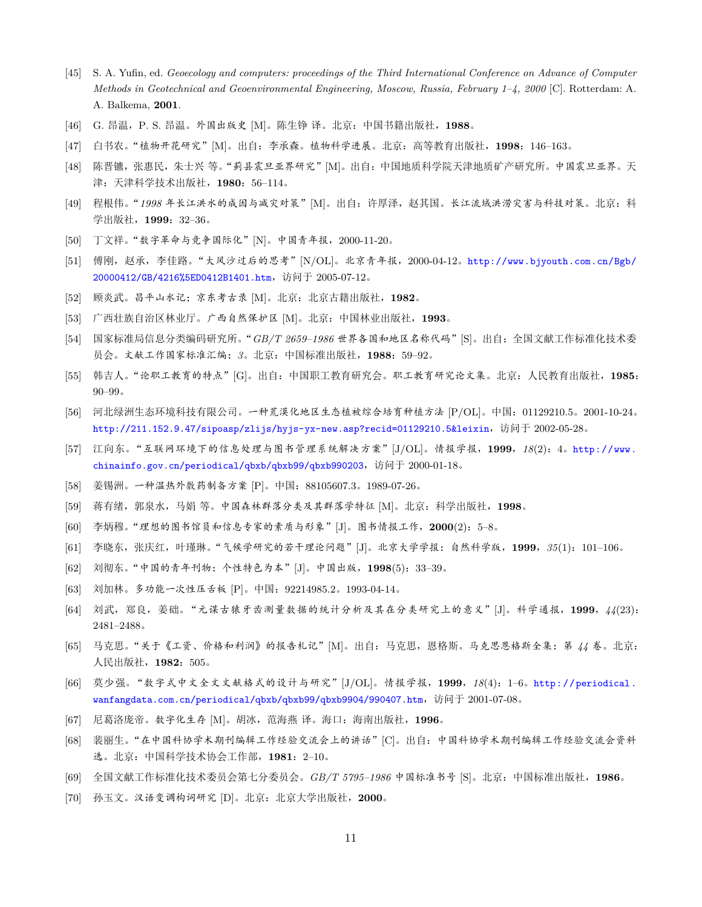- [45] S. A. Yufin, ed. *Geoecology and computers: proceedings of the Third International Conference on Advance of Computer Methods in Geotechnical and Geoenvironmental Engineering, Moscow, Russia, February 1–4, 2000* [C]. Rotterdam: A. A. Balkema, **2001**.
- [46] G. 昂温,P. S. 昂温。外国出版史 [M]。陈生铮 译。北京:中国书籍出版社,**1988**。
- [47] 白书农。"植物开花研究"[M]。出自:李承森。植物科学进展。北京:高等教育出版社,**1998**:146–163。
- [48] 陈晋镳,张惠民,朱士兴 等。"蓟县震旦亚界研究"[M]。出自:中国地质科学院天津地质矿产研究所。中国震旦亚界。天 津:天津科学技术出版社,**1980**:56–114。
- [49] 程根伟。"*1998* 年长江洪水的成因与减灾对策"[M]。出自:许厚泽,赵其国。长江流域洪涝灾害与科技对策。北京:科 学出版社, 1999: 32-36。
- [50] 丁文祥。"数字革命与竞争国际化"[N]。中国青年报,2000-11-20。
- [51] 傅刚,赵承,李佳路。"大风沙过后的思考"[N/OL]。北京青年报,2000-04-12。[http://www.bjyouth.com.cn/Bgb/](http://www.bjyouth.com.cn/Bgb/20000412/GB/4216%5ED0412B1401.htm) [20000412/GB/4216%5ED0412B1401.htm](http://www.bjyouth.com.cn/Bgb/20000412/GB/4216%5ED0412B1401.htm),访问于 2005-07-12。
- [52] 顾炎武。昌平山水记;京东考古录 [M]。北京:北京古籍出版社,**1982**。
- [53] 广西壮族自治区林业厅。广西自然保护区 [M]。北京:中国林业出版社,**1993**。
- [54] 国家标准局信息分类编码研究所。"*GB/T 2659–1986* 世界各国和地区名称代码"[S]。出自:全国文献工作标准化技术委 员会。文献工作国家标准汇编:*3*。北京:中国标准出版社,**1988**:59–92。
- [55] 韩吉人。"论职工教育的特点"[G]。出自:中国职工教育研究会。职工教育研究论文集。北京:人民教育出版社,**1985**: 90–99。
- [56] 河北绿洲生态环境科技有限公司。一种荒漠化地区生态植被综合培育种植方法 [P/OL]。中国:01129210.5。2001-10-24。 <http://211.152.9.47/sipoasp/zlijs/hyjs-yx-new.asp?recid=01129210.5&leixin>,访问于 2002-05-28。
- [57] 江向东。"互联网环境下的信息处理与图书管理系统解决方案"[J/OL]。情报学报,**1999**,*18*(2):4。[http://www.](http://www.chinainfo.gov.cn/periodical/qbxb/qbxb99/qbxb990203) [chinainfo.gov.cn/periodical/qbxb/qbxb99/qbxb990203](http://www.chinainfo.gov.cn/periodical/qbxb/qbxb99/qbxb990203),访问于 2000-01-18。
- [58] 姜锡洲。一种温热外敷药制备方案 [P]。中国:88105607.3。1989-07-26。
- [59] 蒋有绪,郭泉水,马娟 等。中国森林群落分类及其群落学特征 [M]。北京:科学出版社,**1998**。
- [60] 李炳穆。"理想的图书馆员和信息专家的素质与形象"[J]。图书情报工作,**2000**(2):5–8。
- [61] 李晓东,张庆红,叶瑾琳。"气候学研究的若干理论问题"[J]。北京大学学报:自然科学版,**1999**,*35*(1):101–106。
- [62] 刘彻东。"中国的青年刊物:个性特色为本"[J]。中国出版,**1998**(5):33–39。
- [63] 刘加林。多功能一次性压舌板 [P]。中国:92214985.2。1993-04-14。
- [64] 刘武,郑良,姜础。"元谋古猿牙齿测量数据的统计分析及其在分类研究上的意义"[J]。科学通报,**1999**,*44*(23): 2481–2488。
- [65] 马克思。"关于《工资、价格和利润》的报告札记"[M]。出自:马克思,恩格斯。马克思恩格斯全集:第 *44* 卷。北京: 人民出版社,**1982**:505。
- [66] 莫少强。"数字式中文全文文献格式的设计与研究"[J/OL]。情报学报,**1999**,*18*(4):1–6。[http://periodical.](http://periodical.wanfangdata.com.cn/periodical/qbxb/qbxb99/qbxb9904/990407.htm) [wanfangdata.com.cn/periodical/qbxb/qbxb99/qbxb9904/990407.htm](http://periodical.wanfangdata.com.cn/periodical/qbxb/qbxb99/qbxb9904/990407.htm),访问于 2001-07-08。
- [67] 尼葛洛庞帝。数字化生存 [M]。胡冰,范海燕 译。海口:海南出版社,**1996**。
- [68] 裴丽生。"在中国科协学术期刊编辑工作经验交流会上的讲话"[C]。出自:中国科协学术期刊编辑工作经验交流会资料 选。北京:中国科学技术协会工作部,**1981**:2–10。
- [69] 全国文献工作标准化技术委员会第七分委员会。*GB/T 5795–1986* 中国标准书号 [S]。北京:中国标准出版社,**1986**。
- [70] 孙玉文。汉语变调构词研究 [D]。北京:北京大学出版社,**2000**。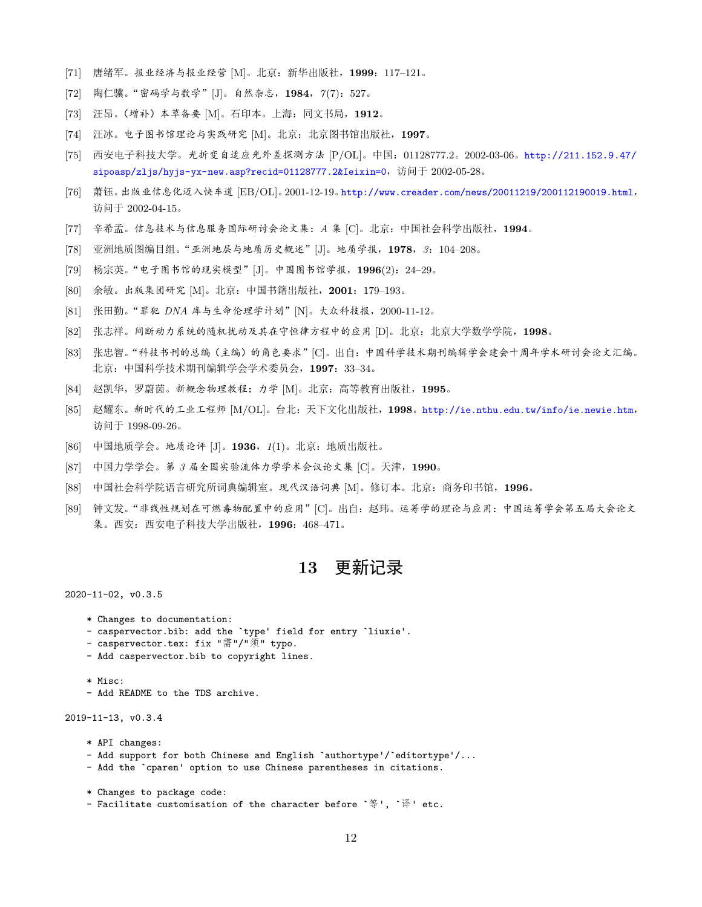- [71] 唐绪军。报业经济与报业经营 [M]。北京:新华出版社,**1999**:117–121。
- [72] 陶仁骥。"密码学与数学"[J]。自然杂志,**1984**,*7*(7):527。
- [73] 汪昂。(增补)本草备要 [M]。石印本。上海:同文书局,**1912**。
- [74] 汪冰。电子图书馆理论与实践研究 [M]。北京:北京图书馆出版社,**1997**。
- [75] 西安电子科技大学。光折变自适应光外差探测方法 [P/OL]。中国:01128777.2。2002-03-06。[http://211.152.9.47/](http://211.152.9.47/sipoasp/zljs/hyjs-yx-new.asp?recid=01128777.2&Ieixin=0) [sipoasp/zljs/hyjs-yx-new.asp?recid=01128777.2&Ieixin=0](http://211.152.9.47/sipoasp/zljs/hyjs-yx-new.asp?recid=01128777.2&Ieixin=0),访问于 2002-05-28。
- [76] 萧钰。出版业信息化迈入快车道 [EB/OL]。2001-12-19。<http://www.creader.com/news/20011219/200112190019.html>, 访问于 2002-04-15。
- [77] 辛希孟。信息技术与信息服务国际研讨会论文集:*A* 集 [C]。北京:中国社会科学出版社,**1994**。
- [78] 亚洲地质图编目组。"亚洲地层与地质历史概述"[J]。地质学报,**1978**,*3*:104–208。
- [79] 杨宗英。"电子图书馆的现实模型"[J]。中国图书馆学报,**1996**(2):24–29。
- [80] 余敏。出版集团研究 [M]。北京:中国书籍出版社,**2001**:179–193。
- [81] 张田勤。"罪犯 *DNA* 库与生命伦理学计划"[N]。大众科技报,2000-11-12。
- [82] 张志祥。间断动力系统的随机扰动及其在守恒律方程中的应用 [D]。北京:北京大学数学学院,**1998**。
- [83] 张忠智。"科技书刊的总编(主编)的角色要求"[C]。出自:中国科学技术期刊编辑学会建会十周年学术研讨会论文汇编。 北京:中国科学技术期刊编辑学会学术委员会,**1997**:33–34。
- [84] 赵凯华,罗蔚茵。新概念物理教程:力学 [M]。北京:高等教育出版社,**1995**。
- [85] 赵耀东。新时代的工业工程师 [M/OL]。台北:天下文化出版社,**1998**。<http://ie.nthu.edu.tw/info/ie.newie.htm>, 访问于 1998-09-26。
- [86] 中国地质学会。地质论评 [J]。**1936**,*1*(1)。北京:地质出版社。
- [87] 中国力学学会。第 *3* 届全国实验流体力学学术会议论文集 [C]。天津,**1990**。
- [88] 中国社会科学院语言研究所词典编辑室。现代汉语词典 [M]。修订本。北京:商务印书馆,**1996**。
- [89] 钟文发。"非线性规划在可燃毒物配置中的应用"[C]。出自:赵玮。运筹学的理论与应用:中国运筹学会第五届大会论文 集。西安:西安电子科技大学出版社,**1996**:468–471。

### **13** 更新记录

2020-11-02, v0.3.5

- \* Changes to documentation:
- caspervector.bib: add the `type' field for entry `liuxie'.
- caspervector.tex: fix "需"/"须" typo.
- Add caspervector.bib to copyright lines.
- \* Misc:
- Add README to the TDS archive.

2019-11-13, v0.3.4

- \* API changes:
- Add support for both Chinese and English `authortype'/`editortype'/...
- Add the `cparen' option to use Chinese parentheses in citations.
- \* Changes to package code:
- Facilitate customisation of the character before `等', `译' etc.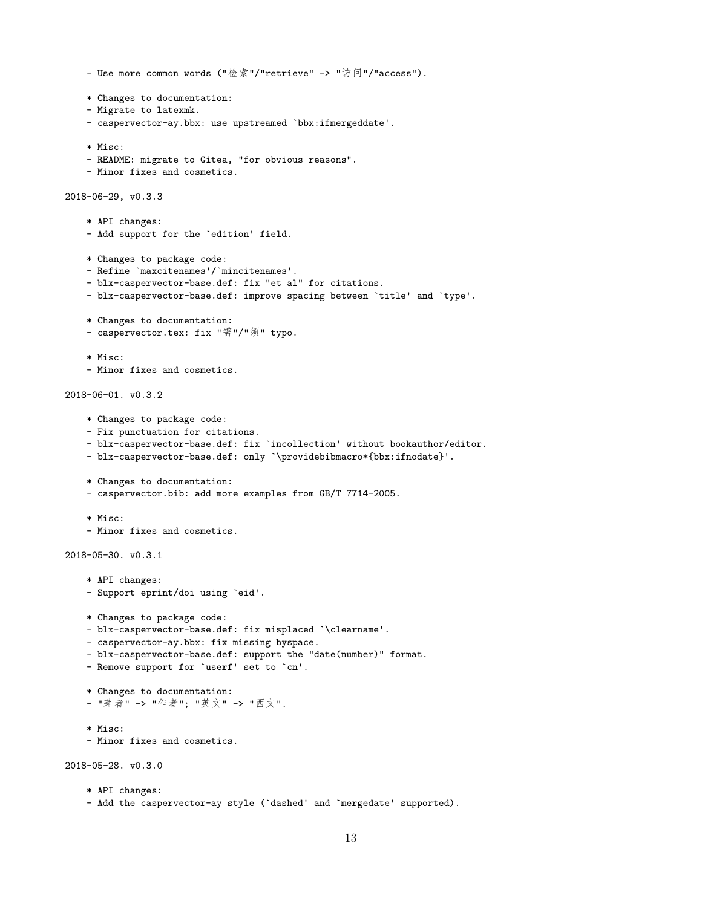```
- Use more common words ("检索"/"retrieve" -> "访问"/"access").
    * Changes to documentation:
    - Migrate to latexmk.
    - caspervector-ay.bbx: use upstreamed `bbx:ifmergeddate'.
    * Misc:
    - README: migrate to Gitea, "for obvious reasons".
    - Minor fixes and cosmetics.
2018-06-29, v0.3.3
    * API changes:
    - Add support for the `edition' field.
    * Changes to package code:
    - Refine `maxcitenames'/`mincitenames'.
    - blx-caspervector-base.def: fix "et al" for citations.
    - blx-caspervector-base.def: improve spacing between `title' and `type'.
    * Changes to documentation:
    - caspervector.tex: fix "需"/"须" typo.
    * Misc:
    - Minor fixes and cosmetics.
2018-06-01. v0.3.2
   * Changes to package code:
    - Fix punctuation for citations.
   - blx-caspervector-base.def: fix `incollection' without bookauthor/editor.
   - blx-caspervector-base.def: only `\providebibmacro*{bbx:ifnodate}'.
    * Changes to documentation:
    - caspervector.bib: add more examples from GB/T 7714-2005.
    * Misc:
    - Minor fixes and cosmetics.
2018-05-30. v0.3.1
    * API changes:
    - Support eprint/doi using `eid'.
   * Changes to package code:
   - blx-caspervector-base.def: fix misplaced `\clearname'.
   - caspervector-ay.bbx: fix missing byspace.
    - blx-caspervector-base.def: support the "date(number)" format.
   - Remove support for `userf' set to `cn'.
    * Changes to documentation:
    - "著者" -> "作者"; "英文" -> "西文".
    * Misc:
    - Minor fixes and cosmetics.
2018-05-28. v0.3.0
```

```
* API changes:
- Add the caspervector-ay style (`dashed' and `mergedate' supported).
```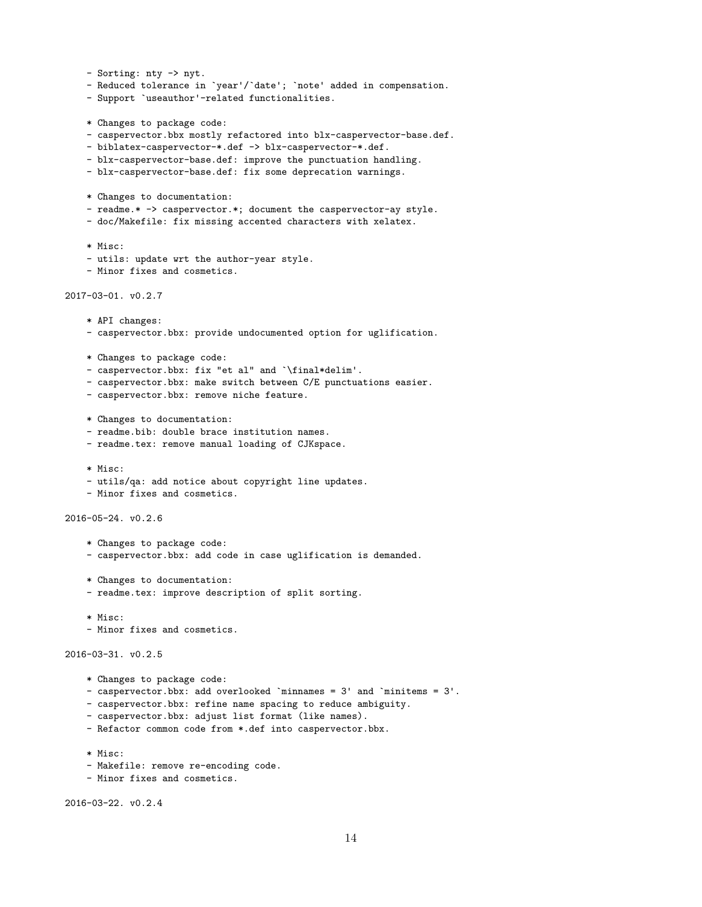```
- Sorting: nty -> nyt.
    - Reduced tolerance in `year'/`date'; `note' added in compensation.
    - Support `useauthor'-related functionalities.
   * Changes to package code:
    - caspervector.bbx mostly refactored into blx-caspervector-base.def.
   - biblatex-caspervector-*.def -> blx-caspervector-*.def.
   - blx-caspervector-base.def: improve the punctuation handling.
   - blx-caspervector-base.def: fix some deprecation warnings.
   * Changes to documentation:
    - readme.* -> caspervector.*; document the caspervector-ay style.
    - doc/Makefile: fix missing accented characters with xelatex.
    * Misc:
    - utils: update wrt the author-year style.
    - Minor fixes and cosmetics.
2017-03-01. v0.2.7
    * API changes:
    - caspervector.bbx: provide undocumented option for uglification.
   * Changes to package code:
    - caspervector.bbx: fix "et al" and `\final*delim'.
    - caspervector.bbx: make switch between C/E punctuations easier.
    - caspervector.bbx: remove niche feature.
   * Changes to documentation:
    - readme.bib: double brace institution names.
   - readme.tex: remove manual loading of CJKspace.
    * Misc:
    - utils/qa: add notice about copyright line updates.
    - Minor fixes and cosmetics.
2016-05-24. v0.2.6
    * Changes to package code:
    - caspervector.bbx: add code in case uglification is demanded.
    * Changes to documentation:
    - readme.tex: improve description of split sorting.
    * Misc:
    - Minor fixes and cosmetics.
2016-03-31. v0.2.5
   * Changes to package code:
    - caspervector.bbx: add overlooked `minnames = 3' and `minitems = 3'.
   - caspervector.bbx: refine name spacing to reduce ambiguity.
    - caspervector.bbx: adjust list format (like names).
   - Refactor common code from *.def into caspervector.bbx.
```
- 
- \* Misc:
- Makefile: remove re-encoding code.
- Minor fixes and cosmetics.

2016-03-22. v0.2.4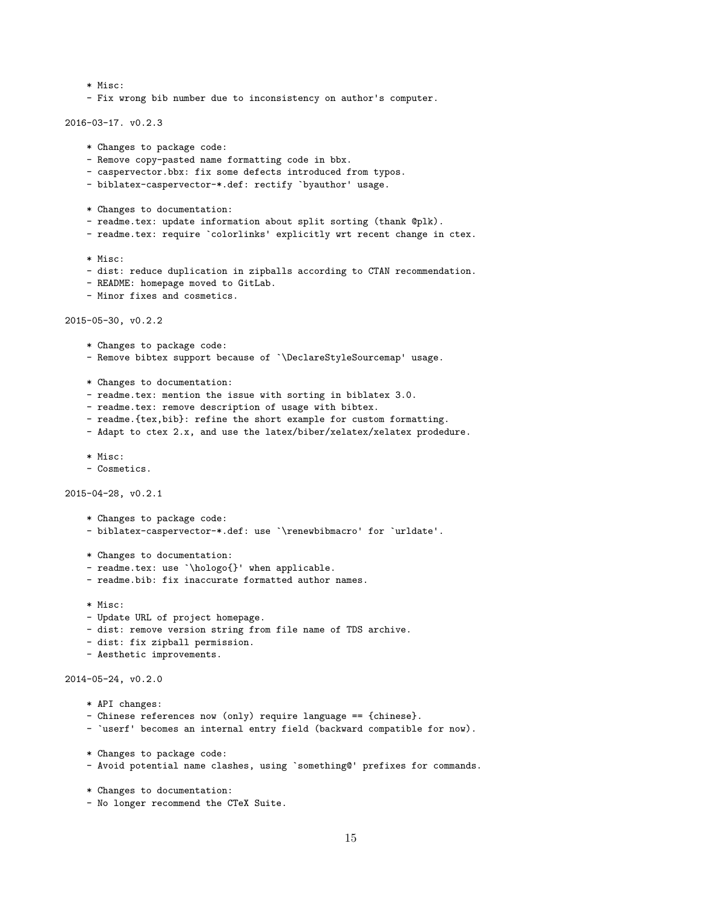```
* Misc:
    - Fix wrong bib number due to inconsistency on author's computer.
2016-03-17. v0.2.3
   * Changes to package code:
   - Remove copy-pasted name formatting code in bbx.
   - caspervector.bbx: fix some defects introduced from typos.
   - biblatex-caspervector-*.def: rectify `byauthor' usage.
   * Changes to documentation:
    - readme.tex: update information about split sorting (thank @plk).
    - readme.tex: require `colorlinks' explicitly wrt recent change in ctex.
   * Misc:
    - dist: reduce duplication in zipballs according to CTAN recommendation.
    - README: homepage moved to GitLab.
    - Minor fixes and cosmetics.
2015-05-30, v0.2.2
    * Changes to package code:
    - Remove bibtex support because of `\DeclareStyleSourcemap' usage.
   * Changes to documentation:
   - readme.tex: mention the issue with sorting in biblatex 3.0.
   - readme.tex: remove description of usage with bibtex.
    - readme.{tex,bib}: refine the short example for custom formatting.
    - Adapt to ctex 2.x, and use the latex/biber/xelatex/xelatex prodedure.
    * Misc:
    - Cosmetics.
2015-04-28, v0.2.1
    * Changes to package code:
    - biblatex-caspervector-*.def: use `\renewbibmacro' for `urldate'.
    * Changes to documentation:
    - readme.tex: use `\hologo{}' when applicable.
    - readme.bib: fix inaccurate formatted author names.
   * Misc:
    - Update URL of project homepage.
   - dist: remove version string from file name of TDS archive.
    - dist: fix zipball permission.
    - Aesthetic improvements.
2014-05-24, v0.2.0
    * API changes:
    - Chinese references now (only) require language == {chinese}.
    - `userf' becomes an internal entry field (backward compatible for now).
    * Changes to package code:
    - Avoid potential name clashes, using `something@' prefixes for commands.
```

```
* Changes to documentation:
```
- No longer recommend the CTeX Suite.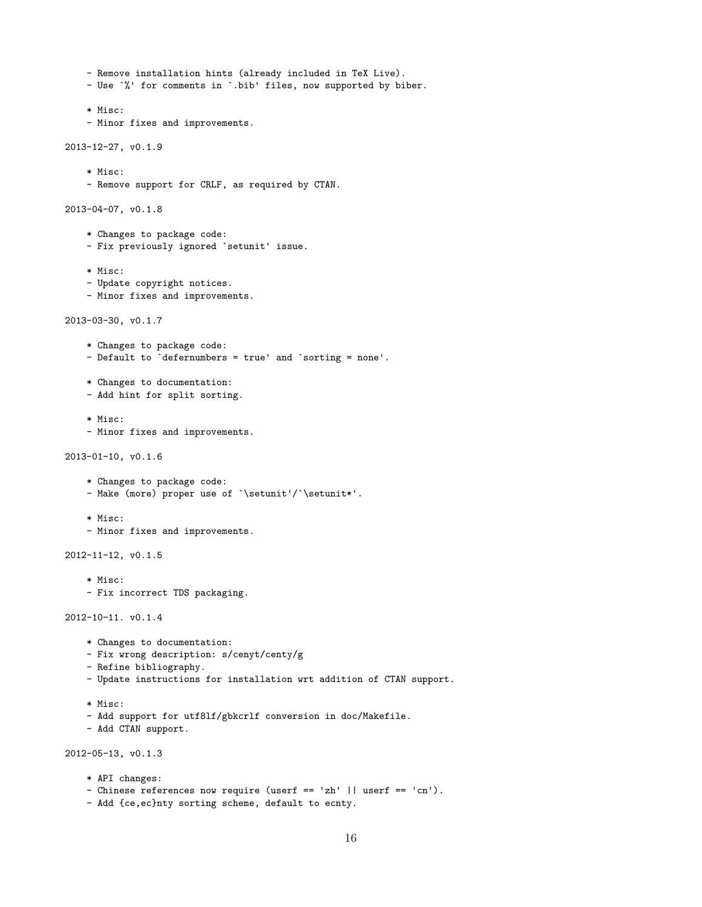```
- Remove installation hints (already included in TeX Live).
```
- Use `%' for comments in `.bib' files, now supported by biber.

```
* Misc:
```
- Minor fixes and improvements.

```
2013-12-27, v0.1.9
```
- \* Misc:
- Remove support for CRLF, as required by CTAN.

```
2013-04-07, v0.1.8
```
- \* Changes to package code:
- Fix previously ignored `setunit' issue.
- \* Misc:
- Update copyright notices.
- Minor fixes and improvements.

```
2013-03-30, v0.1.7
```
- \* Changes to package code:
- Default to `defernumbers = true' and `sorting = none'.
- \* Changes to documentation:
- Add hint for split sorting.
- \* Misc:
- Minor fixes and improvements.

```
2013-01-10, v0.1.6
```
- \* Changes to package code:
- Make (more) proper use of `\setunit'/`\setunit\*'.
- \* Misc:
- Minor fixes and improvements.

```
2012-11-12, v0.1.5
```
- \* Misc:
- Fix incorrect TDS packaging.

```
2012-10-11. v0.1.4
```
- \* Changes to documentation:
- Fix wrong description: s/cenyt/centy/g
- Refine bibliography.
- Update instructions for installation wrt addition of CTAN support.
- \* Misc:
- Add support for utf8lf/gbkcrlf conversion in doc/Makefile.
- Add CTAN support.

```
2012-05-13, v0.1.3
```
\* API changes: - Chinese references now require (userf == 'zh' || userf == 'cn'). - Add {ce,ec}nty sorting scheme, default to ecnty.